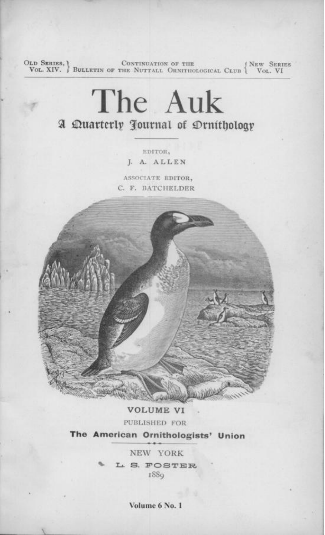OLD SERIES, CONTINUATION OF THE VOL. XIV. BULLETIN OF THE NUTTALL ORNITHOLOGICAL CLUB WOL. VI

# The Auk A Duarterly Journal of Drnithology

EDITOR, J. A. ALLEN

ASSOCIATE EDITOR, C. F. BATCHELDER



**VOLUME VI** PUBLISHED FOR The American Ornithologists' Union

> NEW YORK L. S. FOSTER 188<sub>9</sub>

> > Volume 6 No. 1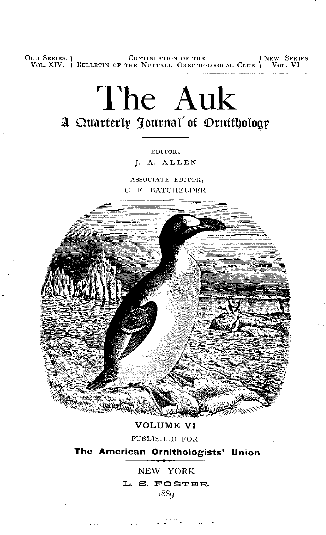OLD SERIES, CONTINUATION OF THE VOL. XIV. J BULLETIN OF THE NUTTALL ORNITIIOLOGICAL CLUB \ VOL. VI

## The Auk A Duarterly Journal' of Drnithology

EDITOR.

J. A. ALLEN

ASSOCIATE EDITOR, C. F. BATCHELDER



VOLUME VI PUBLISHED FOR

The American Ornithologists' Union

NEW YORK L. S. FOSTER 188<sub>9</sub>

**SAN SERIES CONSTRUCTION**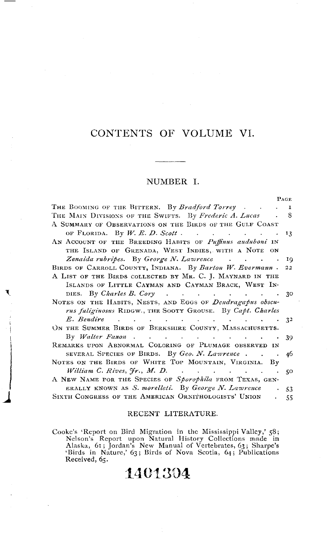## CONTENTS OF VOLUME VI.

#### NUMBER I.

|                                                                                                    | PAGE        |
|----------------------------------------------------------------------------------------------------|-------------|
| THE BOOMING OF THE BITTERN. By <i>Bradford Torrey</i>                                              | $\mathbf I$ |
| THE MAIN DIVISIONS OF THE SWIFTS. By Frederic A. Lucas . 8                                         |             |
| A SUMMARY OF OBSERVATIONS ON THE BIRDS OF THE GULF COAST                                           |             |
| OF FLORIDA. By W. E. D. Scott. 13                                                                  |             |
| AN ACCOUNT OF THE BREEDING HABITS OF Puffinus auduboni IN                                          |             |
| THE ISLAND OF GRENADA, WEST INDIES, WITH A NOTE ON                                                 |             |
| Zenaida rubripes. By George N. Lawrence (march cases) 3.19                                         |             |
| BIRDS OF CARROLL COUNTY, INDIANA. By Barton W. Evermann . 22                                       |             |
| A LIST OF THE BIRDS COLLECTED BY MR. C. J. MAYNARD IN THE                                          |             |
| ISLANDS OF LITTLE CAYMAN AND CAYMAN BRACK, WEST IN-                                                |             |
| DIES. By Charles B. Cory 30                                                                        |             |
| NOTES ON THE HABITS, NESTS, AND EGGS OF Dendragapus obscu-                                         |             |
| rus fuliginosus RIDGW., THE SOOTY GROUSE. By Capt. Charles                                         |             |
| $E.$ Bendire $\qquad \qquad \ldots \qquad \qquad \ldots \qquad \qquad \ldots \qquad \qquad \ldots$ |             |
| ON THE SUMMER BIRDS OF BERKSHIRE COUNTY, MASSACHUSETTS.                                            |             |
|                                                                                                    |             |
| REMARKS UPON ABNORMAL COLORING OF PLUMAGE OBSERVED IN                                              | 39          |
| SEVERAL SPECIES OF BIRDS. By $Geo. N$ . Lawrence                                                   | 46          |
| NOTES ON THE BIRDS OF WHITE TOP MOUNTAIN, VIRGINIA. By                                             |             |
|                                                                                                    |             |
| William C. Rives, $\forall r$ , M. D. (a) $\therefore$ (b) $\therefore$ (c) $\therefore$ (c)       | 50          |
| A NEW NAME FOR THE SPECIES OF Sporophila FROM TEXAS, GEN-                                          |             |
| ERALLY KNOWN AS S. morelleti. By George N. Lawrence                                                | .53         |
| SIXTH CONGRESS OF THE AMERICAN ORNITHOLOGISTS' UNION                                               | 55          |

#### RECENT LITERATURE.

Cooke's 'Report on Bird Migration in the Mississippi Valley,' 58;<br>Nelson's Report upon Natural History Collections made in<br>Alaska, 61; Jordan's New Manual of Vertebrates, 63; Sharpe's<br>'Birds in Nature,' 63; Birds of Nova S Received, 65.

## 1401304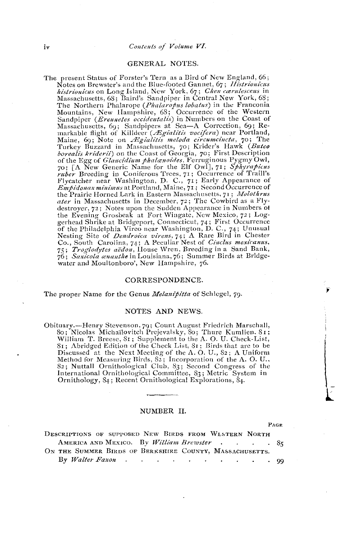#### Contents of Volume VI.

#### GENERAL NOTES.

The present Status of Forster's Tern as a Bird of New England, 66; Notes on Brewster's and the Blue-footed Gannet, 67; Histrionicus *histrionicus* on Long Island, New York, 67; *Chen carrilescens* in Massachusetts, 68; Baird's Sandpiper in Central New York, 68; The Northern Phalarope (Phalaropus lobatus) in the Franconia Mountains, New Hampshire, 68; Occurrence of the Western Mountains, New Trainsparise, too, Occurrence of the Coast of<br>Massachusetts, 69; Sandpipers at Sea—A Correction, 69; Re-<br>markable flight of Killdeer (*Ægialitis vocifera*) near Portland,<br>Maine, 69; Note on *Ægialitis meloda* Turkey Buzzard in Massachusetts, 70; Krider's Hawk (Buteo borealis kriderii) on the Coast of Georgia, 70; First Description of the Egg of Glaucidium phalanoides, Ferruginous Pygmy Owl,<br>70; [A New Generic Name for the Elf Owl], 71; Sphyrapicus ruber Breeding in Coniferous Trees, 71; Occurrence of Traill's Flycatcher near Washington, D. C., 71; Early Appearance of<br>Enpidonax minimus at Portland, Maine, 71; Second Occurrence of the Prairie Horned Lark in Eastern Massachusetts, 71; Molothrus ater in Massachusetts in December, 72; The Cowbird as a Flydestroyer, 72; Notes upon the Sudden Appearance in Numbers of the Evening Grosbeak at Fort Wingate, New Mexico, 72; Logand British at Bridgeport, Connection 72; Log-<br>gerhead Shrike at Bridgeport, Connecticut, 74; First Occurrence<br>of the Philadelphia Vireo near Washington, D. C., 74; Unusual<br>Nesting Site of *Dendroica virens*, 74; A Rare Bi 75; Troglodytes aëdon, House Wren, Breeding in a Sand Bank, 76; Saxicola ananthe in Louisiana, 76; Summer Birds at Bridgewater and Moultonboro', New Hampshire, 76.

#### CORRESPONDENCE.

The proper Name for the Genus *Melanipitta* of Schlegel, 79.

#### NOTES AND NEWS.

Obituary.-Henry Stevenson, 79; Count August Friedrich Marschall, 80; Nicolas Michaïlovitch Prejevalsky, 80; Thure Kumlien. 81; William T. Breese, 81; Supplement to the A. O. U. Check-List, 81; Abridged Edition of the Check List, 81; Birds that are to be Discussed at the Next Meeting of the A.O. U., 82; A Uniform Method for Measuring Birds, 82; Incorporation of the A.O.U., 82; Nuttall Ornithological Club, 83; Second Congress of the International Ornithological Committee, 83; Metric System in Ornithology, 84; Recent Ornithological Explorations, 84.

#### NUMBER II.

PAGE

| DESCRIPTIONS OF SUPPOSED NEW BIRDS FROM WESTERN NORTH   |  |  |  |
|---------------------------------------------------------|--|--|--|
| AMERICA AND MEXICO. By William Brewster 85              |  |  |  |
| ON THE SUMMER BIRDS OF BERKSHIRE COUNTY, MASSACHUSETTS. |  |  |  |
| By Walter Faxon 99                                      |  |  |  |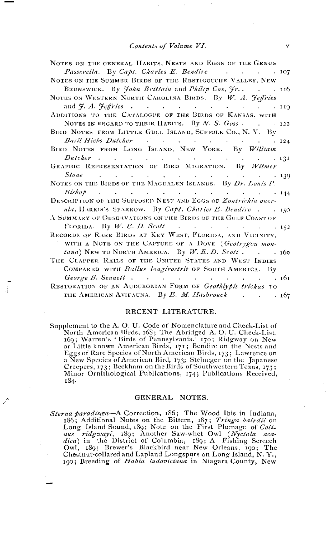Contents of Volume VI.

| NOTES ON THE GENERAL HABITS, NESTS AND EGGS OF THE GENUS                  |  |
|---------------------------------------------------------------------------|--|
| Passerella. By Capt. Charles E. Bendire 107                               |  |
| NOTES ON THE SUMMER BIRDS OF THE RESTIGOUCHE VALLEY, NEW                  |  |
| BRUNSWICK. By <i>John Brittain</i> and <i>Philip Cox</i> , <i>Jr.</i> 116 |  |
| NOTES ON WESTERN NORTH CAROLINA BIRDS. By W. A. Feffries                  |  |
| and $\mathcal{F}$ . A. $\mathcal{F}$ effries 119                          |  |
| ADDITIONS TO THE CATALOGUE OF THE BIRDS OF KANSAS, WITH                   |  |
| NOTES IN REGARD TO THEIR HABITS. By N. S. $G \circ ss$ . 122              |  |
| BIRD NOTES FROM LITTLE GULL ISLAND, SUFFOLK CO., N.Y. By                  |  |
| Basil Hicks Dutcher 124                                                   |  |
| BIRD NOTES FROM LONG ISLAND, NEW YORK. By William                         |  |
| Dutcher 131                                                               |  |
| GRAPHIC REPRESENTATION OF BIRD MIGRATION. By Witmer                       |  |
|                                                                           |  |
| NOTES ON THE BIRDS OF THE MAGDALEN ISLANDS. By Dr. Louis P.               |  |
| $Bishop$ and $I44$                                                        |  |
| DESCRIPTION OF THE SUPPOSED NEST AND EGGS OF Zontrichia quer-             |  |
| ula, HARRIS'S SPARROW. By Capt. Charles E. Bendire 150                    |  |
| $\Lambda$ Summary of Observations on the Birds of the Gulf Coast of       |  |
| FLORIDA. By W. E. D. Scott 152                                            |  |
| Records of RARE BIRDS AT KEY WEST, FLORIDA, AND VICINITY,                 |  |
| WITH A NOTE ON THE CAPTURE OF A DOVE (Geotrygon mon-                      |  |
| tana) NEW TO NORTH AMERICA. By W. E. D. Scott. 160                        |  |
| THE CLAPPER RAILS OF THE UNITED STATES AND WEST INDIES                    |  |
| COMPARED WITH Rallus longirostris OF SOUTH AMERICA. By                    |  |
| George B. Sennett 161                                                     |  |
| RESTORATION OF AN AUDUBONIAN FORM OF Geothlypis trichas TO                |  |
| THE AMERICAN AVIFAUNA. By E. M. Hasbrouck (a) 167                         |  |

#### RECENT LITERATURE.

Supplement to the A.O.U. Code of Nomenclature and Check-List of North American Birds, 168; The Abridged A.O.U. Check-List, 169; Warren's 'Birds of Pennsylvania,' 170; Ridgway on New or Little known American Birds, 171; Bendire on the Nests and Eggs of Rare Species of North American Birds, 173; Lawrence on a New Species of American Bird, 173; Stejneger on the Japanese<br>Creepers, 173; Beckham on the Birds of Southwestern Texas, 173; Minor Ornithological Publications, 174; Publications Received, 184.

#### GENERAL NOTES.

Sterna paradisca-A Correction, 186; The Wood Ibis in Indiana, *rha paradised*—A Correction, i.e., i.e. wood fils in Indiana,<br>1865, Additional Notes on the Bittern, 187; Tringa barrdii on<br>Long Island Sound, 189; Note on the First Plumage of Coli-<br>nus ridgwayi, 189; Another Saw-whet O Chestnut-collared and Lapland Longspurs on Long Island, N.Y., 190; Breeding of Habia ludoviciana in Niagara County, New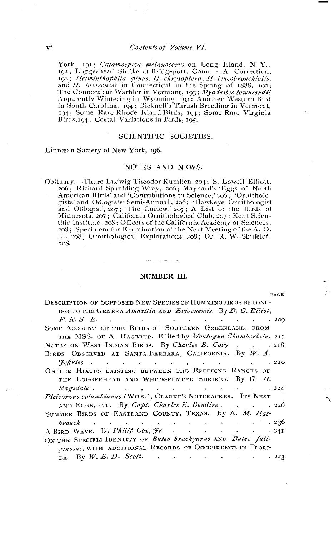York, 191; Calamospiza melanocorys on Long Island, N.Y., 192; Loggerhead Shrike at Bridgeport, Conn. - A Correction, ry, Elementary and Share a Bruggport, Count. — A Correction,<br>and H. lawrences' in Connecticut in the Spring of 1888, 192;<br>and H. lawrences' in Connecticut in the Spring of 1888, 192;<br>The Connecticut Warbler in Vermont, 193 Birds, 194; Costal Variations in Birds, 195.

#### SCIENTIFIC SOCIETIES.

Linnæan Society of New York, 196.

#### NOTES AND NEWS.

Obituary.-Thure Ludwig Theodor Kumlien, 204; S. Lowell Elliott, 206; Richard Spaulding Wray, 206; Maynard's 'Eggs of North<br>American Birds' and 'Contributions to Science, 206; 'Ornithologists' and Oölogists' Semi-Annual', 206; 'Hawkeye Ornithologist<br>and Oölogist', 207; 'The Curlew,' 207; A List of the Birds of Minnesota, 207; California Ornithological Club, 207; Kent Scientific Institute, 208; Officers of the California Academy of Sciences, 208; Specimens for Examination at the Next Meeting of the A. O. U., 208; Ornithological Explorations, 208; Dr. R. W. Shufeldt, 208.

#### NUMBER III.

| 'AGE |
|------|

| <b>DESCRIPTION OF SUPPOSED NEW SPECIES OF HUMMINGBIRDS BELONG-</b>                                             |
|----------------------------------------------------------------------------------------------------------------|
| ING TO THE GENERA Amazilia AND Eriocnemis. By D. G. Elliot,                                                    |
| $F. R. S. E.$ 200                                                                                              |
| SOME ACCOUNT OF THE BIRDS OF SOUTHERN GREENLAND, FROM                                                          |
| THE MSS. OF A. HAGERUP. Edited by Montague Chamberlain. 211                                                    |
| NOTES ON WEST INDIAN BIRDS. By Charles B. Cory 218                                                             |
| BIRDS OBSERVED AT SANTA BARBARA, CALIFORNIA. By W. A.                                                          |
| ${\cal F}$ effries 220                                                                                         |
| ON THE HIATUS EXISTING BETWEEN THE BREEDING RANGES OF                                                          |
| THE LOGGERHEAD AND WHITE-RUMPED SHRIKES. By G. H.                                                              |
| $Ragsdale \cdot \cdot \cdot \cdot \cdot \cdot \cdot \cdot \cdot \cdot \cdot \cdot \cdot \cdot \cdot \cdot 224$ |
| Picicorvus columbianus (WILS.), CLARKE'S NUTCRACKER. ITS NEST                                                  |
| AND EGGS, ETC. By Capt. Charles E. Bendire. 226                                                                |
| SUMMER BIRDS OF EASTLAND COUNTY, TEXAS. By E. M. Has-                                                          |
|                                                                                                                |
| A BIRD WAVE. By <i>Philip Cox</i> , $\mathcal{F}r$ . 241                                                       |
| ON THE SPECIFIC IDENTITY OF Buteo brachyurus AND Buteo fuli-                                                   |
| ginosus, WITH ADDITIONAL RECORDS OF OCCURRENCE IN FLORI-                                                       |
| $_{\text{DA}}$ By W, E. D. Scott. 243                                                                          |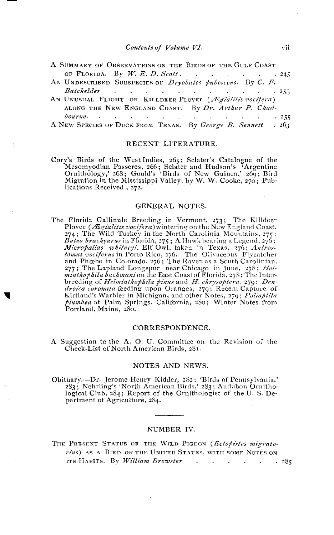- A SUMMARY OF OBSERVATIONS ON THE BIRDS OF THE GULF COAST OF FLORIDA. By  $W. E. D. Scott.$  $\cdot$   $.245$
- AN UNDESCRIBED SUBSPECIES OF Dryobates pubescens. By C. F. Batchelder  $\mathbf{L} = \mathbf{L}$  $\sim 10^{-1}$  $\sim 10^{11}$  m  $^{-1}$  $\sim$  100  $\sim$  $.253$  $\sim$  $\sim$
- AN UNUSUAL FLIGHT OF KILLDEER PLOVET (*Ægialitis vocifera*) ALONG THE NEW ENGLAND COAST. By Dr. Arthur P. Chadbourne. . .  $\mathcal{A}$  and  $\mathcal{A}$  are  $\mathcal{A}$  and  $\mathcal{A}$  $.255$  $\sim$  100  $\sim$  $\sim 10^{-11}$

A NEW SPECIES OF DUCK FROM TEXAS. By George B. Sennett  $.263$ 

#### RECENT LITERATURE.

Cory's Birds of the West Indies, 265; Sclater's Catalogue of the Mesomyodian Passeres, 266; Sclater and Hudson's 'Argentine Ornithology,' 268; Gould's 'Birds of New Guinea,' 269; Bird Migration in the Mississippi Valley, b lications Received, 272.

#### GENERAL NOTES.

The Florida Gallinule Breeding in Vermont, 273; The Killdeer Plover (*Ægialitis vocifera*) wintering on the New England Coast, 274; The Wild Turkey in the North Carolinia Mountains, 275; 274; The Wild Turkey in the North Carolinia Mountains, 275;<br> *Bitteo brackywrits* in Florida, 275; A Hawk bearing a Legend, 276;<br> *Micropallas whitneyi*, Elf Owl, taken in Texas, 276; Antros-<br> *tomus vociferus* in Porto R plumbea at Palm Springs, California, 280; Winter Notes from Portland, Maine, 280.

#### CORRESPONDENCE.

A Suggestion to the A. O. U. Committee on the Revision of the Check-List of North American Birds, 281.

#### NOTES AND NEWS.

Obituary.—Dr. Jerome Henry Kidder, 282; 'Birds of Pennsylvania,' 283; Nehrling's 'North American Birds,' 283; Audubon Ornithological Club, 284; Report of the Ornithologist of the U.S. Department of Agriculture, 284.

#### NUMBER IV.

THE PRESENT STATUS OF THE WILD PIGEON (Ectopistes migrato*rius*) AS A BIRD OF THE UNITED STATES, WITH SOME NOTES ON ITS HABITS. By William Brewster  $\sim$  $\mathbb{R}^{\mathbb{Z}}$  $\sim$   $\sim$ **College**  $.285$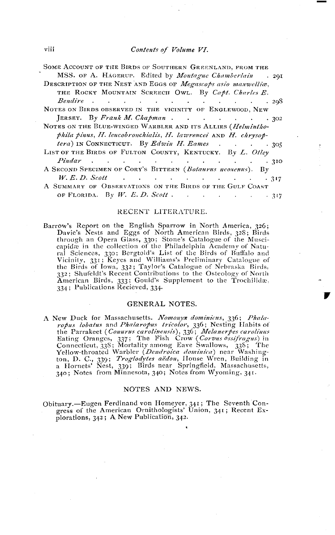#### Contents of Volume VI.

| SOME ACCOUNT OF THE BIRDS OF SOUTHERN GREENLAND, FROM THE                                                                                                                                                                                                                                     |
|-----------------------------------------------------------------------------------------------------------------------------------------------------------------------------------------------------------------------------------------------------------------------------------------------|
| MSS. OF A. HAGERUP. Edited by <i>Montague Chamberlain</i> . 291                                                                                                                                                                                                                               |
| DESCRIPTION OF THE NEST AND EGGS OF Megascops asio maxwelliæ,                                                                                                                                                                                                                                 |
| THE ROCKY MOUNTAIN SCREECH OWL. By Capt. Charles E.                                                                                                                                                                                                                                           |
|                                                                                                                                                                                                                                                                                               |
| NOTES ON BIRDS OBSERVED IN THE VICINITY OF ENGLEWOOD, NEW                                                                                                                                                                                                                                     |
| JERSEY. By Frank M. Chapman 302                                                                                                                                                                                                                                                               |
| NOTES ON THE BLUE-WINGED WARBLER AND ITS ALLIES (Helmintho-                                                                                                                                                                                                                                   |
| phila pinus, H. leucobronchialis, H. lawrencei AND H. chrysop-                                                                                                                                                                                                                                |
| <i>tera</i> ) IN CONNECTICUT. By <i>Edwin H. Eames</i> 305                                                                                                                                                                                                                                    |
| LIST OF THE BIRDS OF FULTON COUNTY, KENTUCKY. By L. Otley                                                                                                                                                                                                                                     |
| $Pindar$ (a) $\cdots$ (b) $\cdots$ (c) $\cdots$ (c) $\cdots$ (c) $\cdots$ (c) $\cdots$ (c) $\cdots$ (c) $\cdots$ (c) $\cdots$ (c) $\cdots$ (c) $\cdots$ (c) $\cdots$ (c) $\cdots$ (c) $\cdots$ (c) $\cdots$ (c) $\cdots$ (c) $\cdots$ (c) $\cdots$ (c) $\cdots$ (c) $\cdots$ (c) $\cdots$ (c) |
| A SECOND SPECIMEN OF CORY'S BITTERN (Botaurus neoxenus). By                                                                                                                                                                                                                                   |
| $W. E. D. Scott$ 317                                                                                                                                                                                                                                                                          |
| A SUMMARY OF OBSERVATIONS ON THE BIRDS OF THE GULF COAST                                                                                                                                                                                                                                      |
| OF FLORIDA. By W. E. D. Scott. 317                                                                                                                                                                                                                                                            |

#### RECENT LITERATURE.

Barrow's Report on the English Sparrow in North America, 326; Davie's Nests and Eggs of North American Birds, 328; Birds<br>through an Opera Glass, 330; Stone's Catalogue of the Musci-<br>capidæ in the collection of the Philadelphia Academy of Natucapinae in the concernor of the Financeiphal Academy of Natural Sciences, 330; Bergtold's List of the Birds of Buffalo and<br>Vicinity, 331; Keyes and Williams's Preliminary Catalogue of<br>the Birds of Iowa, 332; Taylor's Catal American Birds, 333; Gould's Supplement to the Trochilidæ, 334; Publications Recieved, 334.

#### GENERAL NOTES.

A New Duck for Massachusetts. Nomonyx dominicus, 336; Phalarew Duck for *alcohology a tremando and Phalarophs tricolor*, 336; Nesting Habits of<br>the Parrakeet (*Comuns carolinensis*), 336; *Melanerpes carolinus*<br>Eating Oranges, 337; The Fish Crow (*Corvus ossifragus*) in<br>Connecticu ton, D. C., 339; *Troglodytes aëdon*, House Wren, Building in<br>a Hornets' Nest, 339; Birds near Springfield, Massachusetts, 340; Notes from Minnesota, 340; Notes from Wyoming, 341.

#### NOTES AND NEWS.

Obituary.—Eugen Ferdinand von Homeyer, 341; The Seventh Congress of the American Ornithologists' Union, 341; Recent Explorations, 342; A New Publication, 342.

viii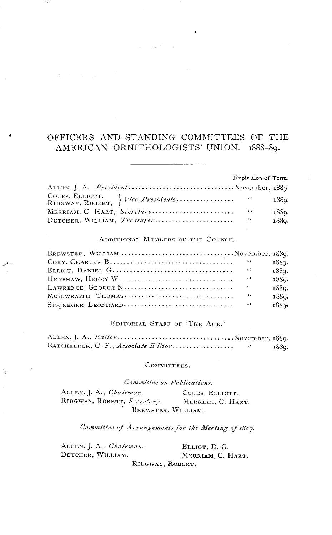## OFFICERS AND STANDING COMMITTEES OF THE AMERICAN ORNITHOLOGISTS' UNION. 1888-89.

|                                                | Expiration of Term. |       |
|------------------------------------------------|---------------------|-------|
| ALLEN, J. A., <i>President</i> November, 1889. |                     |       |
|                                                |                     | 188g. |
| MERRIAM, C. HART, Secretary                    | $\sim$ 6.4 $\pm$    | 1889. |
| DUTCHER, WILLIAM, Treasurer                    | $\sim$              | 1889. |

#### ADDITIONAL MEMBERS OF THE COUNCIL.

| BREWSTER, WILLIAM November, 1889.                                                    |            |       |
|--------------------------------------------------------------------------------------|------------|-------|
|                                                                                      |            | 1889. |
|                                                                                      |            | 1889. |
| HENSHAW, HENRY W $\dots\dots\dots\dots\dots\dots\dots\dots\dots\dots\dots\dots\dots$ | $\sim$ 6   | 1889. |
|                                                                                      |            | 1880. |
| MCILWRAITH, THOMAS                                                                   | $\sim$ 4.4 | 1889. |
|                                                                                      |            | 1880  |

#### EDITORIAL STAFF OF 'THE AUK.'

| BATCHELDER, C. F., Associate Editor | 1889. |
|-------------------------------------|-------|

#### COMMITTEES.

Committee on Publications.

ALLEN, J. A., Chairman. COUES, ELLIOTT. RIDGWAY, ROBERT, Secretary. MERRIAM, C. HART. BREWSTER, WILLIAM.

Committee of Arrangements for the Meeting of 1889.

ALLEN, J. A., Chairman. ELLIOT, D. G. DUTCHER, WILLIAM. MERRIAM. C. HART. RIDGWAY, ROBERT.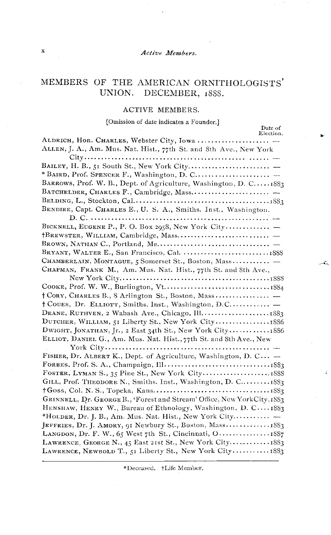#### Active Members.

## MEMBERS OF THE AMERICAN ORNITHOLOGISTS' UNION. DECEMBER, 1888.

#### ACTIVE MEMBERS.

#### [Omission of date indicates a Founder.]

Date of

Ã.

| ALDRICH, Hon. CHARLES, Webster City, Iowa                                   |  |
|-----------------------------------------------------------------------------|--|
| ALLEN, J. A., Am. Mus. Nat. Hist., 77th St. and 8th Ave., New York          |  |
|                                                                             |  |
|                                                                             |  |
| * BAIRD, Prof. SPENCER F., Washington, D. C                                 |  |
| BARROWS, Prof. W. B., Dept. of Agriculture, Washington, D. C. $\ldots$ 1883 |  |
|                                                                             |  |
|                                                                             |  |
| BENDIRE, Capt. CHARLES E., U. S. A., Smiths. Inst., Washington,             |  |
|                                                                             |  |
| BICKNELL, EUGENE P., P. O. Box 2958, New York City                          |  |
|                                                                             |  |
|                                                                             |  |
|                                                                             |  |
| CHAMBERLAIN, MONTAGUE, 5 Somerset St., Boston, Mass -                       |  |
| CHAPMAN, FRANK M., Am. Mus. Nat. Hist., 77th St. and 8th Ave.,              |  |
|                                                                             |  |
|                                                                             |  |
|                                                                             |  |
| † Coues, Dr. ELLIOTT, Smiths. Inst., Washington, D.C                        |  |
|                                                                             |  |
|                                                                             |  |
| DWIGHT, JONATHAN, Jr., 2 East 34th St., New York City 1886                  |  |
| ELLIOT, DANIEL G., Am. Mus. Nat. Hist., 77th St. and 8th Ave., New          |  |
|                                                                             |  |
| FISHER, Dr. ALBERT K., Dept. of Agriculture, Washington, D. C -             |  |
|                                                                             |  |
|                                                                             |  |
| GILL, Prof. THEODORE N., Smiths. Inst., Washington, D. C 1883               |  |
|                                                                             |  |
| GRINNELL, Dr. GEORGE B., 'Forest and Stream' Office, New York City, 1883    |  |
| HENSHAW, HENRY W., Bureau of Ethnology, Washington, D. C1883                |  |
| *HOLDER, Dr. J. B., Am. Mus. Nat. Hist., New York City $-$                  |  |
| JEFFRIES, Dr. J. AMORY, 91 Newbury St., Boston, Mass1883                    |  |
| LANGDON, Dr. F. W., 65 West 7th St., Cincinnati, O 1887                     |  |
| LAWRENCE, GEORGE N., 45 East 21st St., New York City 1883                   |  |
| LAWRENCE, NEWBOLD T., 51 Liberty St., New York City1883                     |  |

\*Deceased. +Life Member.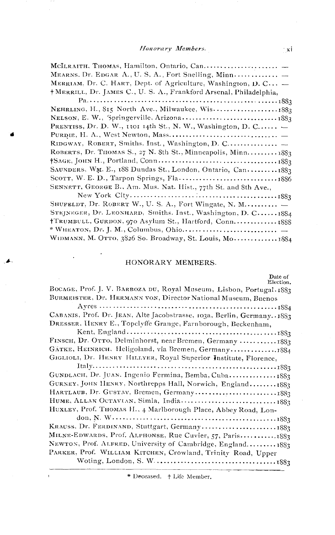### Honorary Members.

| MEARNS, Dr. EDGAR A., U. S, A., Fort Snelling, Minn                   |
|-----------------------------------------------------------------------|
| MERRIAM, Dr. C. HART, Dept. of Agriculture, Washington, D. C $\equiv$ |
| † MERRILL, Dr. JAMES C., U. S. A., Frankford Arsenal, Philadelphia,   |
|                                                                       |
| NEHRLING, H., 815 North Ave., Milwaukee, Wis1883                      |
|                                                                       |
| PRENTISS, Dr. D. W., 1101 14th St., N. W., Washington, D. C $\equiv$  |
|                                                                       |
| RIDGWAY, ROBERT, Smiths. Inst., Washington, D. C                      |
| ROBERTS, Dr. THOMAS S., 27 N. 8th St., Minneapolis, Minn 1883         |
|                                                                       |
| SAUNDERS, WM. E., 188 Dundas St., London, Ontario, Can 1883           |
|                                                                       |
| SENNETT, GEORGE B., Am. Mus. Nat. Hist., 77th St. and 8th Ave.,       |
|                                                                       |
| SHUFELDT, Dr. ROBERT W., U. S. A., Fort Wingate, N. M                 |
| STEJNEGER, Dr. LEONHARD, Smiths. Inst., Washington, D. C 1884         |
| †TRUMBULL, GURDON, 970 Asylum St., Hartford, Conn 1888                |
|                                                                       |
| WIDMANN, M. OTTO, 3826 So. Broadway, St. Louis, Mo 1884               |

#### HONORARY MEMBERS.

| Date of<br>Election.                                                    |
|-------------------------------------------------------------------------|
| BOCAGE, Prof. J. V. BARBOZA DU, Royal Museum, Lisbon, Portugal 1883     |
| BURMEISTER, Dr. HERMANN VON, Director National Museum, Buenos           |
|                                                                         |
| CABANIS, Prof. Dr. JEAN, Alte Jacobstrasse, 103a, Berlin, Germany. 1883 |
| DRESSER, HENRY E., Topclyffe Grange, Farnborough, Beckenham,            |
|                                                                         |
| FINSCH, Dr. OTTO, Delminhorst, near Bremen, Germany  1883               |
| GÄTKE, HEINRICH. Heligoland, via Bremen, Germany1884                    |
| GIGLIOLI, Dr. HENRY HILLYER, Royal Superior Institute, Florence,        |
|                                                                         |
| GUNDLACH, Dr. JUAN. Ingenio Fermina, Bemba, Cuba1883                    |
| GURNEY, JOHN HENRY, Northrepps Hall, Norwich, England 1883              |
| HARTLAUB, Dr. GUSTAV, Bremen, Germany1883                               |
|                                                                         |
| HUXLEY, Prof. THOMAS H., 4 Marlborough Place, Abbey Road, Lon-          |
|                                                                         |
|                                                                         |
| MILNE-EDWARDS, Prof. ALPHONSE, Rue Cuvier, 57, Paris1883                |
| NEWTON, Prof. ALFRED, University of Cambridge, England 1883             |
| PARKER, Prof. WILLIAM KITCHEN, Crowland, Trinity Road, Upper            |
|                                                                         |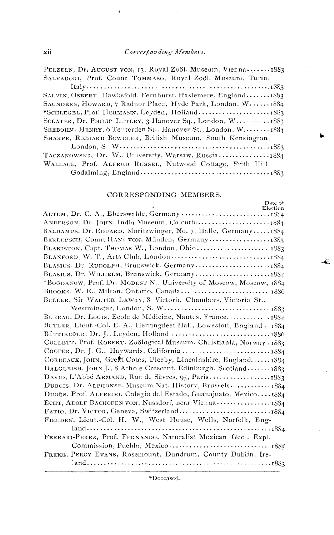PELZELN, Dr. AUGUST VON, 13, Royal Zoöl. Museum, Vienna....... 1883 SALVADORI, Prof. Count TOMMASO, Royal Zoöl. Museum, Turin,

| SALVIN, OSBERT, Hawksfold, Fernhurst, Haslemere, England1883 |
|--------------------------------------------------------------|
| SAUNDERS, HOWARD, 7 Radnor Place, Hyde Park, London, W 1884  |
|                                                              |
| SCLATER, Dr. PHILIP LUTLEY, 3 Hanover Sq., London, W 1883    |
| SEEBOHM, HENRY, 6 Tenterden St., Hanover St., London, W1884  |
| SHARPE, RICHARD BOWDLER, British Museum, South Kensington,   |
|                                                              |
| TACZANOWSKI, Dr. W., University, Warsaw, Russia1884          |
| WALLACE, Prof. ALFRED RUSSEL, Nutwood Cottage, Frith IIill,  |

#### CORRESPONDING MEMBERS.

Date of Election BALDAMUS, Dr. EDUARD, Moritzwinger, No. 7, Halle, Germany...... 1884 BERLEPSCH, Count HANS VON, Münden, Germany...................1883 BLASIUS, Dr. WILHELM, Brunswick, Germany...........................1884 \*BOGDANOW, Prof. Dr. MODEST N., University of Moscow, Moscow, 1884 BROOKS, W. E., Milton, Ontario, Canada... .............................1886 BULLER, Sir WALTER LAWRY, 8 Victoria Chambers, Victoria St., BUREAU, Dr. Louis, Ecole de Médicine, Nantes, France............ 1884 BUTLER, Lieut.-Col. E. A., Herringfleet Hall, Lowestoft, England .. 1884 COLLETT, Prof. ROBERT, Zoölogical Museum, Christiania, Norway .1883 CORDEAUX, JOHN, Great Cotes, Ulceby, Lincolnshire, England......1884 DALGLEISH, JOHN J., 8 Athole Crescent, Edinburgh, Scotland.......1883 DUBOIS, Dr. ALPHONSE, Museum Nat. History, Brussels............. 1884 Ducks, Prof. ALFREDO, Colegio del Estado, Guanajuato, Mexico.... t884 FIELDEN, Lieut.-Col. H. W., West House, Wells, Norfolk, Eng-FERRARI-PEREZ, Prof. FERNANDO, Naturalist Mexican Geol. Expl. FREKE, PERCY EVANS, Rosemount, Dundrum, County Dublin, Ire-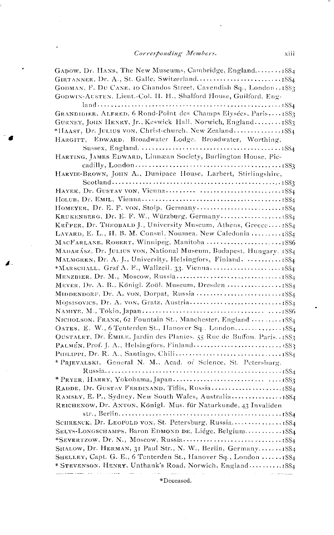$\ddot{\phantom{0}}$ 

| GADOW, Dr. HANS, The New Museums, Cambridge, England 1884              |
|------------------------------------------------------------------------|
|                                                                        |
| GODMAN, F. DU CANE, 10 Chandos Street, Cavendish Sq., London. 1883     |
| GODWIN-AUSTEN, Lieut.-Col. II. H., Shalford House, Guilford. Eng-      |
|                                                                        |
| GRANDIDIER, ALFRED, 6 Rond-Point des Champs Elysées, Paris1883         |
| GURNEY, JOHN HENRY, Jr., Keswick Hall, Norwich, England 1883           |
| *HAAST, Dr. JULIUS VON, Christ-church. New Zealand1884                 |
| HARGITT, EDWARD, Broadwater Lodge, Broadwater, Worthing,               |
|                                                                        |
| HARTING, JAMES EDWARD, Linnæan Society, Burlington House, Pic-         |
|                                                                        |
| HARVIE-BROWN, JOHN A., Dunipace House, Larbert, Stirlingshire,         |
|                                                                        |
|                                                                        |
|                                                                        |
|                                                                        |
|                                                                        |
| KRÜPER, Dr. THEOBALD J., University Museum, Athens, Greece 1884        |
| LAYARD, E. L., II. B. M. Consul, Noumea, New Caledonia  1884           |
| MACFARLANE, ROBERT, Winnipeg, Manitoba 1886                            |
| MADARÁSZ, Dr. JULIUS VON, National Museum, Budapest, Hungary, 1884     |
| MALMGREN, Dr. A. J., University, Helsingfors, Finland.  1884           |
| *MARSCHALL, Graf A. F., Wallzeil, 33, Vienna 1884                      |
|                                                                        |
|                                                                        |
|                                                                        |
|                                                                        |
|                                                                        |
| NICHOLSON, FRANK, 62 Fountain St., Manchester, England  1884           |
| OATES, E. W., 6 Tenterden St., Hanover Sq., London 1884                |
| OUSTALET, Dr. EMILE, Jardin des Plantes. 55 Rue de Buffon. Paris. 1883 |
|                                                                        |
|                                                                        |
| * PRJEVALSKI, General N. M., Acad. of Science, St. Petersburg.         |
|                                                                        |
|                                                                        |
| RAMSEY, E. P., Sydney, New South Wales, Australia1884                  |
| REICHENOW, Dr. ANTON, Königl. Mus. für Naturkunde, 43 Invaliden        |
|                                                                        |
|                                                                        |
| SELYS-LONGSCHAMPS, Baron EDMOND DE, Liége, Belgium1884                 |
|                                                                        |
| SHALOW, Dr. HERMAN, 31 Paul Str., N. W., Berlin, Germany1884           |
| SHELLEY, Capt. G. E., 6 Tenterden St., Hanover Sq., London  1884       |
| * STEVENSON, HENRY, Unthank's Road, Norwich, England1884               |
|                                                                        |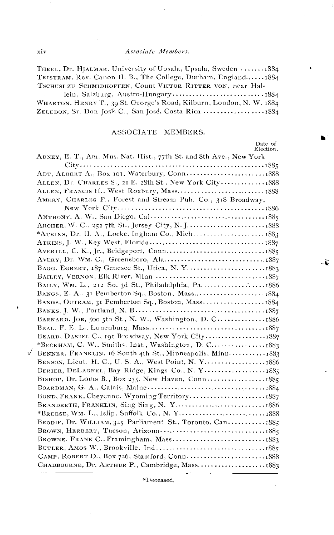#### Associate Members.

THEEL, Dr. HJALMAR, University of Upsala, Upsala, Sweden ....... 1884 TRISTRAM, Rev. Canon II. B., The College, Durham, England......1884 TSCHUSI ZU SCHMIDHOFFEN, Count VICTOR RITTER VON, near Hal-

| WHARTON, HENRY T., 39 St. George's Road, Kilburn, London, N. W. 1884 |  |
|----------------------------------------------------------------------|--|
| ZELEDON, Sr. Don José C., San José, Costa Rica 1884                  |  |

#### ASSOCIATE MEMBERS.

| Date of<br>Election.                                               |  |
|--------------------------------------------------------------------|--|
| ADNEY, E. T., Am. Mus. Nat. Hist., 77th St. and 8th Ave., New York |  |
|                                                                    |  |
|                                                                    |  |
| ALLEN, Dr. CHARLES S., 21 E. 28th St., New York City1888           |  |
|                                                                    |  |
| AMERY, CHARLES F., Forest and Stream Pub. Co., 318 Broadway,       |  |
|                                                                    |  |
|                                                                    |  |
|                                                                    |  |
|                                                                    |  |
|                                                                    |  |
|                                                                    |  |
|                                                                    |  |
|                                                                    |  |
|                                                                    |  |
|                                                                    |  |
| BANGS, E. A., 31 Pemberton Sq., Boston, Mass1884                   |  |
| BANGS, OUTRAM, 31 Pemberton Sq., Boston, Mass1884                  |  |
|                                                                    |  |
| BARNARD, JOB, 500 5th St., N. W., Washington, D. C1886             |  |
|                                                                    |  |
| BEARD, DANIEL C., 191 Broadway, New York City1887                  |  |
|                                                                    |  |
| BENNER, FRANKLIN, 16 South 4th St., Minneapolis, Minn1883          |  |
| BENSON, Lieut. H. C., U. S. A., West Point, N. Y1886               |  |
| BERIER, DELAGNEL, Bay Ridge, Kings Co., N. Y1885                   |  |
| BISHOP, Dr. Louis B., Box 235, New Haven, Conn 1885                |  |
|                                                                    |  |
| BOND, FRANK, Cheyenne. Wyoming Territory1887                       |  |
| BRANDRETH, FRANKLIN, Sing Sing, N. Y1886                           |  |
|                                                                    |  |
| BRODIE, Dr. WILLIAM, 325 Parliament St., Toronto, Can 1885         |  |
| BROWN, HERBERT, Tucson, Arizona1885                                |  |
|                                                                    |  |
|                                                                    |  |
|                                                                    |  |
| CHADBOURNE, Dr. ARTHUR P., Cambridge, Mass1883                     |  |

\*Deceased.

Ł.

xiv

N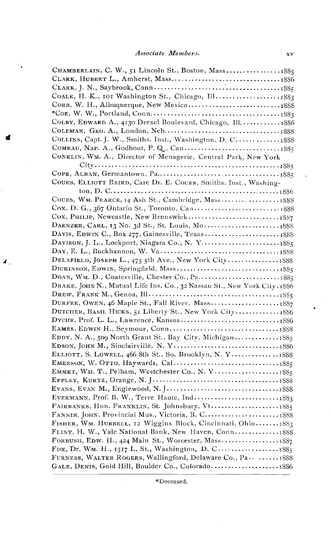| CHAMBERLAIN, C. W., 51 Lincoln St., Boston, Mass1885                     |
|--------------------------------------------------------------------------|
|                                                                          |
|                                                                          |
|                                                                          |
|                                                                          |
|                                                                          |
| COLBY, EDWARD A., 4130 Drexel Boulevard, Chicago, Ill.  1886             |
|                                                                          |
| COLLINS, Capt. J. W., Smiths. Inst., Washington, D. C 1888               |
|                                                                          |
| CONKLIN, WM. A., Director of Menagerie, Central Park, New York           |
|                                                                          |
|                                                                          |
| COUES, ELLIOTT BAIRD, Care Dr. E. COUES, Smiths. Inst., Washing-         |
|                                                                          |
|                                                                          |
|                                                                          |
|                                                                          |
| DAENZER, CARL, 13 No. 3d St., St. Louis, Mo1888                          |
|                                                                          |
|                                                                          |
|                                                                          |
|                                                                          |
|                                                                          |
|                                                                          |
| DRAKE, JOHN N., Mutual Life Ins. Co., 32 Nassau St., New York City. 1886 |
|                                                                          |
|                                                                          |
| DUTCHER, BASIL HICKS, 51 Liberty St., New York City 1886                 |
|                                                                          |
|                                                                          |
| EDDY, N. A., 509 North Grant St., Bay City, Michigan 1885                |
|                                                                          |
| ELLIOTT, S. LOWELL, 466 8th St., So. Brooklyn, N. Y1888                  |
|                                                                          |
|                                                                          |
|                                                                          |
|                                                                          |
|                                                                          |
|                                                                          |
|                                                                          |
| FISHER, WM. HUBBELL, 12 Wiggins Block, Cincinnati, Ohio 1883             |
| FLINT, H. W., Yale National Bank, New Haven, Conn1888                    |
| FORBUSH, EDW. H., 424 Main St., Worcester, Mass1887                      |
| Fox, Dr. Wm. H., 1517 L. St., Washington, D. C1885                       |
| FURNESS, WALTER ROGERS, Wallingford, Delaware Co., Pa.  1888             |
|                                                                          |
|                                                                          |

◢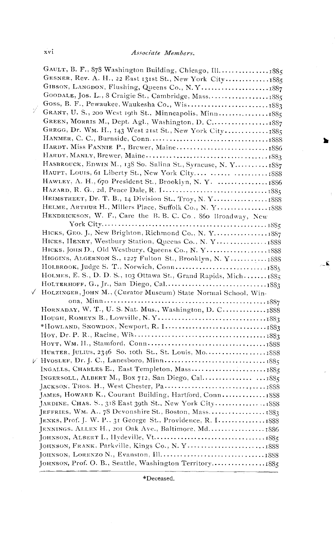۱.

 $\sim$   $\tilde{\mathbf{K}}$  .

| GAULT, B. F., 878 Washington Building, Chicago, Ill1885          |  |
|------------------------------------------------------------------|--|
| GESNER, Rev. A. H., 22 East 131st St., New York City1885         |  |
|                                                                  |  |
| GOODALE, Jos. L., 8 Craigie St., Cambridge, Mass1885             |  |
|                                                                  |  |
| GRANT, U. S., 200 West 19th St., Minneapolis, Minn1885           |  |
| GREEN, MORRIS M., Dept. Agl., Washington, D. C1887               |  |
| GREGG, Dr. WM. H., 143 West 21st St., New York City 1885         |  |
|                                                                  |  |
|                                                                  |  |
|                                                                  |  |
| HASBROUCK, EDWIN M., 138 So. Salina St., Syracuse, N. Y 1887     |  |
| HAUPT, LOUIS, 61 Liberty St., New York City   1888               |  |
| HAWLEY, A. H., 670 President St., Brooklyn, N. Y. 1886           |  |
|                                                                  |  |
|                                                                  |  |
|                                                                  |  |
| HENDRICKSON, W. F., Care the B. B. C. Co., 860 Broadway, New     |  |
|                                                                  |  |
| HICKS, GEO. J., New Brighton, Richmond Co., N. Y1887             |  |
| HICKS, HENRY, Westbury Station, Queens Co., N. Y 1888            |  |
|                                                                  |  |
| HIGGINS, ALGERNON S., 1227 Fulton St., Brooklyn, N.Y 1888        |  |
|                                                                  |  |
| HOLMES, E. S., D. D. S., 103 Ottawa St., Grand Rapids, Mich 1885 |  |
|                                                                  |  |
| HOLZINGER, JOHN M., (Curator Museum) State Normal School, Win-   |  |
|                                                                  |  |
| HORNADAY, W. T., U. S. Nat. Mus., Washington, D. C 1888          |  |
|                                                                  |  |
|                                                                  |  |
|                                                                  |  |
|                                                                  |  |
|                                                                  |  |
|                                                                  |  |
|                                                                  |  |
|                                                                  |  |
|                                                                  |  |
| JAMES, HOWARD K., Courant Building, Hartford, Conn 1888          |  |
|                                                                  |  |
|                                                                  |  |
|                                                                  |  |
| JENNINGS. ALLEN H., 201 Oak Ave., Baltimore, Md1886              |  |
|                                                                  |  |
|                                                                  |  |
|                                                                  |  |
| JOHNSON, Prof. O. B., Seattle, Washington Territory1885          |  |

\*Deceased.

Ñ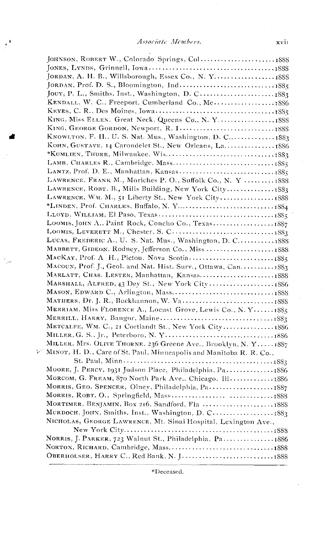$\ddot{\phantom{a}}$ 

 $\mathcal{F}^k$ 

| JORDAN, A. H. B., Willsborough, Essex Co., N. Y 1888                |  |
|---------------------------------------------------------------------|--|
|                                                                     |  |
|                                                                     |  |
| KENDALL, W. C., Freeport, Cumberland Co., Me1886                    |  |
|                                                                     |  |
| KING, Miss ELLEN, Great Neck, Queens Co., N. Y1888                  |  |
| KING, GEORGE GORDON, Newport, R. I1888                              |  |
| KNOWLTON, F. H., U. S. Nat. Mus., Washington, D. C 1883             |  |
| Конн, Gustave, 14 Carondelet St., New Orleans, La 1886              |  |
|                                                                     |  |
|                                                                     |  |
|                                                                     |  |
| LAWRENCE, FRANK M., Moriches P. O., Suffolk Co., N. Y 1888          |  |
| LAWRENCE, ROBT. B., Mills Building, New York City1883               |  |
| LAWRENCE, WM. M., 51 Liberty St., New York City1888                 |  |
|                                                                     |  |
|                                                                     |  |
|                                                                     |  |
|                                                                     |  |
| LUCAS, FREDERIC A., U. S. Nat. Mus., Washington, D. C 1888          |  |
| MABBETT, GIDEON, Rodney, Jefferson Co., Miss1888                    |  |
|                                                                     |  |
|                                                                     |  |
| MARLATT, CHAS. LESTER, Manhattan, Kansas1888                        |  |
| MARSHALL, ALFRED, 43 Dey St., New York City1886                     |  |
|                                                                     |  |
|                                                                     |  |
| MERRIAM, Miss FLORENCE A., Locust Grove, Lewis Co., N. Y1885        |  |
|                                                                     |  |
| METCALFE, WM. C., 21 Cortlandt St., New York City 1886              |  |
|                                                                     |  |
| MILLER, Mrs. OLIVE THORNE, 236 Greene Ave., Brooklyn, N. Y 1887     |  |
| MINOT, H. D., Care of St. Paul, Minneapolis and Manitoba R. R. Co., |  |
|                                                                     |  |
| MOORE, J. PERCY. 1931 Judson Place, Philadelphia, Pa 1886           |  |
| MORCOM, G. FREAM, 870 North Park Ave., Chicago, Ill1886             |  |
|                                                                     |  |
|                                                                     |  |
| MORTIMER, BENJAMIN, Box 216, Sandford, Fla 1888                     |  |
| MURDOCH, JOHN, Smiths. Inst., Washington, D. C1883                  |  |
| NICHOLAS, GEORGE LAWRENCE, Mt. Sinai Hospital, Lexington Ave.,      |  |
|                                                                     |  |
| NORRIS, J. PARKER, 723 Walnut St., Philadelphia, Pa1886             |  |
| NORTON, RICHARD, Cambridge, Mass1888                                |  |
|                                                                     |  |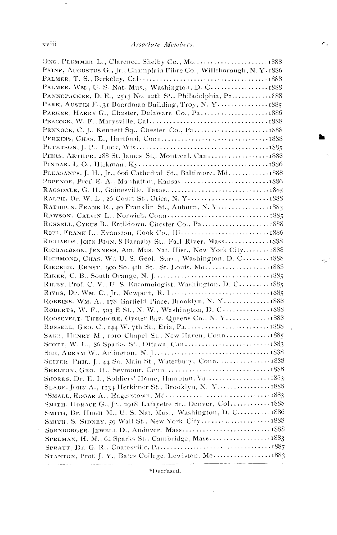$\epsilon_v$ 

Ň,

έb

 $\ddot{\phantom{0}}$ 

| PAINE, AUGUSTUS G., Jr., Champlain Fibre Co., Willsborough, N.Y.1886                                                 |  |
|----------------------------------------------------------------------------------------------------------------------|--|
|                                                                                                                      |  |
| PALMER, WM., U. S. Nat. Mus., Washington, D. C1888                                                                   |  |
| PANNEPACKER, D. E., 2513 No. 12th St., Philadelphia, Pa 1888                                                         |  |
| PARK. AUSTIN F., 31 Boardman Building, Troy, N. Y 1885                                                               |  |
| PARKER, HARRY G., Chester, Delaware Co., Pa1886                                                                      |  |
|                                                                                                                      |  |
|                                                                                                                      |  |
|                                                                                                                      |  |
|                                                                                                                      |  |
| PIERS, ARTHUR, 288 St. James St., Montreal, Can1888                                                                  |  |
|                                                                                                                      |  |
| PLEASANTS, J. H., Jr., 606 Cathedral St., Baltimore, Md 1888                                                         |  |
|                                                                                                                      |  |
|                                                                                                                      |  |
|                                                                                                                      |  |
|                                                                                                                      |  |
|                                                                                                                      |  |
|                                                                                                                      |  |
|                                                                                                                      |  |
| RICHARDS, JOHN BION, 8 Barnaby St., Fall River, Mass 1888                                                            |  |
| RICHARDSON, JENNESS, Am. Mus. Nat. Hist., New York City 1888                                                         |  |
| RICHMOND, CHAS. W., U. S. Geol. Surv., Washington, D. C 1888                                                         |  |
|                                                                                                                      |  |
|                                                                                                                      |  |
| RILEY, Prof. C. V., U. S. Entomologist, Washington. D. C 1885                                                        |  |
|                                                                                                                      |  |
| ROBBINS, WM. A., 178 Garfield Place, Brooklyn, N. Y 1888                                                             |  |
| ROBERTS, W. F., 503 E St., N. W., Washington, D. C 1888                                                              |  |
| ROOSEVELT, THEODORE, Oyster Bay, Queens Co., N. Y 1888                                                               |  |
|                                                                                                                      |  |
| SAGE, HENRY M., 1010 Chapel St., New Haven, Conn1885                                                                 |  |
|                                                                                                                      |  |
|                                                                                                                      |  |
| SEITER, PHIL. J., 44 So. Main St., Waterbury, Conn.  1888                                                            |  |
|                                                                                                                      |  |
| SHORES, Dr. E. I., Soldiers' Home, Hampton, Va.  1883                                                                |  |
| SLADE, JOHN A., 1134 Herkimer St., Brooklyn, N. Y 1888                                                               |  |
|                                                                                                                      |  |
| SMITH, HORACE G., Jr., 2918 Lafayette St., Denver, Col 1888                                                          |  |
| SMITH, Dr. HUGH M., U. S. Nat. Mus., Washington, D. C 1886                                                           |  |
|                                                                                                                      |  |
|                                                                                                                      |  |
|                                                                                                                      |  |
| SPELMAN, H. M., 62 Sparks St., Cambridge, Mass1883                                                                   |  |
|                                                                                                                      |  |
| na<br>De la composición de la construcción de la composición de la construcción de la construcción de la construcció |  |
|                                                                                                                      |  |

\*Deceased.

 $\sim$ 

 $\bar{a}$